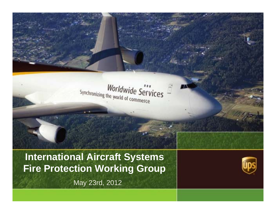

# **International Aircraft Systems Fire Protection Working Group**

May 23rd, 2012

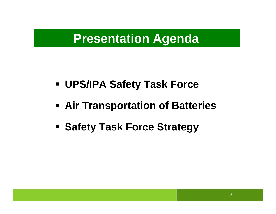# **Presentation Agenda**

- **UPS/IPA Safety Task Force**
- **Air Transportation of Batteries**
- **Examber Safety Task Force Strategy**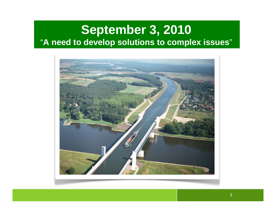# **September 3, 2010**  "**A need to develop solutions to complex issues** "

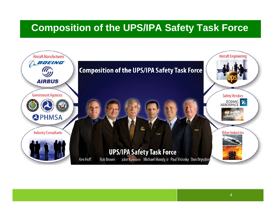# **Composition of the UPS/IPA Safety Task Force**

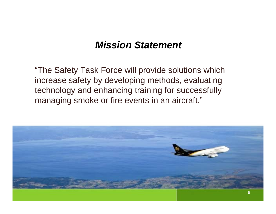#### *Mission Statement*

"The Safety Task Force will provide solutions which increase safety by developing methods, evaluating technology and enhancing training for successfully managing smoke or fire events in an aircraft."

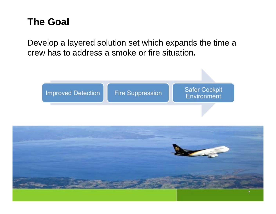# **The Goal**

Develop a layered solution set which expands the time a crew has to address a smoke or fire situation**.**



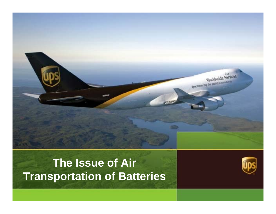# **The Issue of Air Transportation of Batteries**

**ANTISER** 



Worldwide Services

Streptopique que mong ey comments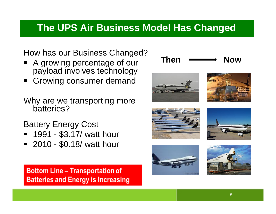# **The UPS Air Business Model Has Changed**

#### How has our Business Changed?

- A growing percentage of our payload involves technology
- $\blacksquare$ Growing consumer demand
- Why are we transporting more batteries?

Battery Energy Cost

- 1991 \$3.17/ watt hour
- 2010 \$0.18/ watt hour

**Bottom Line - Transportation of Batteries and Energy is Increasing** 













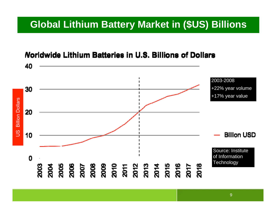# **Global Lithium Battery Market in (\$US) Billions**

#### **Noridwide Lithium Batteries in U.S. Billions of Dollars**

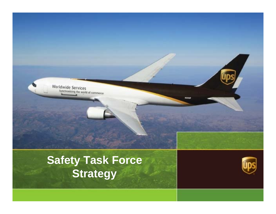

# **Safety Task Force Strategy**

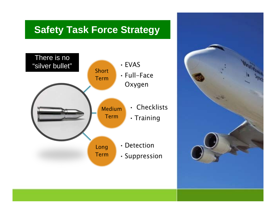## **Safety Task Force Strategy**



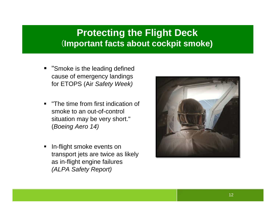#### **Protecting the Flight Deck**  (**Important facts about cockpit smoke)**

- **The Smoke is the leading defined** cause of emergency landings for ETOPS (Air *Safety Week)*
- "The time from first indication of smoke to an out-of-control situation may be very short." (*Boeing Aero 14)*
- In-flight smoke events on transport jets are twice as likely as in-flight engine failures *(ALPA Safety Report)*

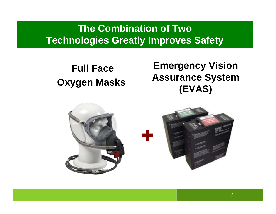# **The Combination of Two Technologies Greatly Improves Safety**

# **Full Face Oxygen Masks**

# **Emergency Vision Assurance System (EVAS)**

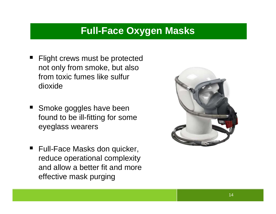# **Full-Face Oxygen Masks**

- Flight crews must be protected not only from smoke, but also from toxic fumes like sulfur dioxide
- **Smoke goggles have been** found to be ill-fitting for some eyeglass wearers
- Full-Face Masks don quicker, reduce operational complexity and allow a better fit and more effective mask purging

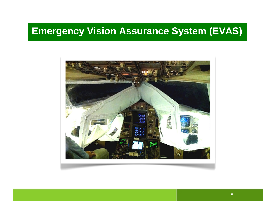# **Emergency Vision Assurance System (EVAS)**

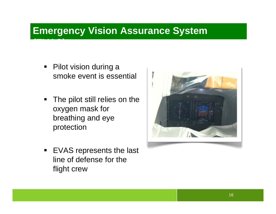### **Emergency Vision Assurance System**

■ Pilot vision during a smoke event is essential

**(EVAS)**

- $\blacksquare$  . The pilot still relies on the oxygen mask for breathing and eye protection
- EVAS represents the last line of defense for the flight crew

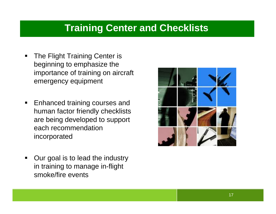## **Training Center and Checklists**

- $\blacksquare$  The Flight Training Center is beginning to emphasize the importance of training on aircraft emergency equipment
- $\blacksquare$  Enhanced training courses and human factor friendly checklists are being developed to support each recommendation incorporated
- $\blacksquare$  Our goal is to lead the industry in training to manage in-flight smoke/fire events

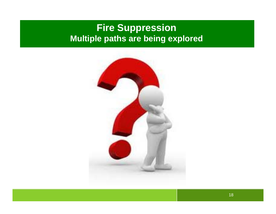#### **Fire Suppression Multiple paths are being explored**

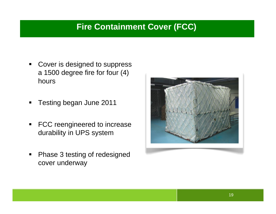#### **Fire Containment Cover (FCC)**

- ٠ Cover is designed to suppress a 1500 degree fire for four (4) hours
- $\blacksquare$ Testing began June 2011
- $\blacksquare$  FCC reengineered to increase durability in UPS system
- $\blacksquare$  Phase 3 testing of redesigned cover underway

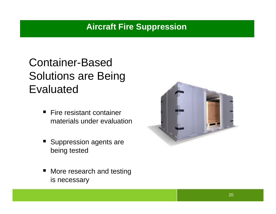# Container-Based Solutions are Being Evaluated

- Fire resistant container materials under evaluation
- Suppression agents are being tested
- $\blacksquare$  More research and testing is necessary

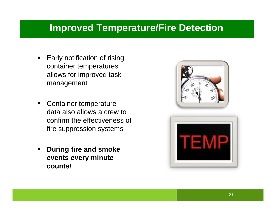### **Improved Temperature/Fire Detection**

- $\blacksquare$  Early notification of rising container temperatures allows for improved task management
- $\blacksquare$  Container temperature data also allows a crew to confirm the effectiveness of fire suppression systems
- $\blacksquare$  **During fire and smoke events every minute counts!**